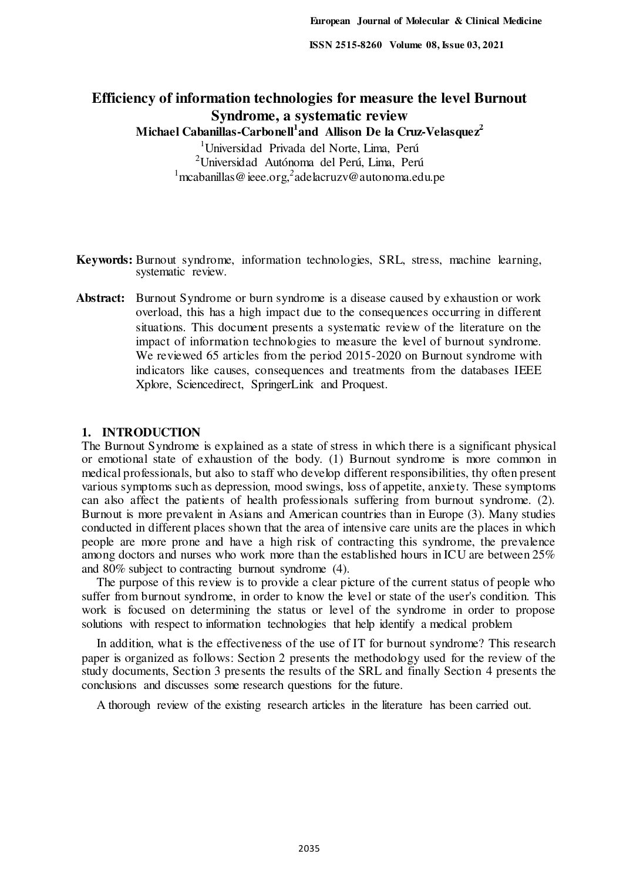# **Efficiency of information technologies for measure the level Burnout Syndrome, a systematic review**

**Michael Cabanillas-Carbonell<sup>1</sup> and Allison De la Cruz-Velasquez<sup>2</sup>**

<sup>1</sup>Universidad Privada del Norte, Lima, Perú <sup>2</sup>Universidad Autónoma del Perú, Lima, Perú <sup>1</sup> mcabanillas @ ieee.org,<sup>2</sup> ade lacruzv@autonoma.edu.pe

- **Keywords:** Burnout syndrome, information technologies, SRL, stress, machine learning, systematic review.
- **Abstract:** Burnout Syndrome or burn syndrome is a disease caused by exhaustion or work overload, this has a high impact due to the consequences occurring in different situations. This document presents a systematic review of the literature on the impact of information technologies to measure the level of burnout syndrome. We reviewed 65 articles from the period 2015-2020 on Burnout syndrome with indicators like causes, consequences and treatments from the databases IEEE Xplore, Sciencedirect, SpringerLink and Proquest.

#### **1. INTRODUCTION**

The Burnout Syndrome is explained as a state of stress in which there is a significant physical or emotional state of exhaustion of the body. (1) Burnout syndrome is more common in medical professionals, but also to staff who develop different responsibilities, thy often present various symptoms such as depression, mood swings, loss of appetite, anxiety. These symptoms can also affect the patients of health professionals suffering from burnout syndrome. (2). Burnout is more prevalent in Asians and American countries than in Europe (3). Many studies conducted in different places shown that the area of intensive care units are the places in which people are more prone and have a high risk of contracting this syndrome, the prevalence among doctors and nurses who work more than the established hours in ICU are between 25% and 80% subject to contracting burnout syndrome (4).

The purpose of this review is to provide a clear picture of the current status of people who suffer from burnout syndrome, in order to know the level or state of the user's condition. This work is focused on determining the status or level of the syndrome in order to propose solutions with respect to information technologies that help identify a medical problem

In addition, what is the effectiveness of the use of IT for burnout syndrome? This research paper is organized as follows: Section 2 presents the methodology used for the review of the study documents, Section 3 presents the results of the SRL and finally Section 4 presents the conclusions and discusses some research questions for the future.

A thorough review of the existing research articles in the literature has been carried out.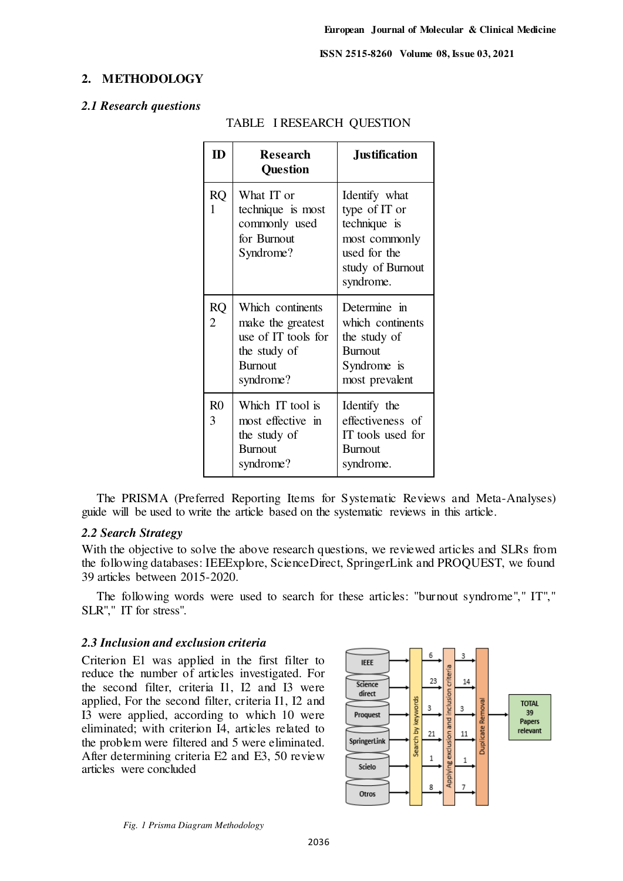#### **2. METHODOLOGY**

#### *2.1 Research questions*

| ID                          | <b>Research</b><br><b>Question</b>                                                                          | <b>Justification</b>                                                                                             |
|-----------------------------|-------------------------------------------------------------------------------------------------------------|------------------------------------------------------------------------------------------------------------------|
| <b>RQ</b><br>1              | What IT or<br>technique is most<br>commonly used<br>for Burnout<br>Syndrome?                                | Identify what<br>type of IT or<br>technique is<br>most commonly<br>used for the<br>study of Burnout<br>syndrome. |
| <b>RQ</b><br>$\overline{2}$ | Which continents<br>make the greatest<br>use of IT tools for<br>the study of<br><b>Burnout</b><br>syndrome? | Determine in<br>which continents<br>the study of<br><b>Burnout</b><br>Syndrome is<br>most prevalent              |
| R <sub>0</sub><br>3         | Which IT tool is<br>most effective in<br>the study of<br><b>Burnout</b><br>syndrome?                        | Identify the<br>effectiveness of<br>IT tools used for<br><b>Burnout</b><br>syndrome.                             |

## TABLE I RESEARCH QUESTION

The PRISMA (Preferred Reporting Items for Systematic Reviews and Meta-Analyses) guide will be used to write the article based on the systematic reviews in this article.

## *2.2 Search Strategy*

With the objective to solve the above research questions, we reviewed articles and SLRs from the following databases: IEEExplore, ScienceDirect, SpringerLink and PROQUEST, we found 39 articles between 2015-2020.

The following words were used to search for these articles: "burnout syndrome"," IT"," SLR"," IT for stress".

#### *2.3 Inclusion and exclusion criteria*

Criterion E1 was applied in the first filter to reduce the number of articles investigated. For the second filter, criteria I1, I2 and I3 were applied, For the second filter, criteria I1, I2 and I3 were applied, according to which 10 were eliminated; with criterion I4, articles related to the problem were filtered and 5 were eliminated. After determining criteria E2 and E3, 50 review articles were concluded

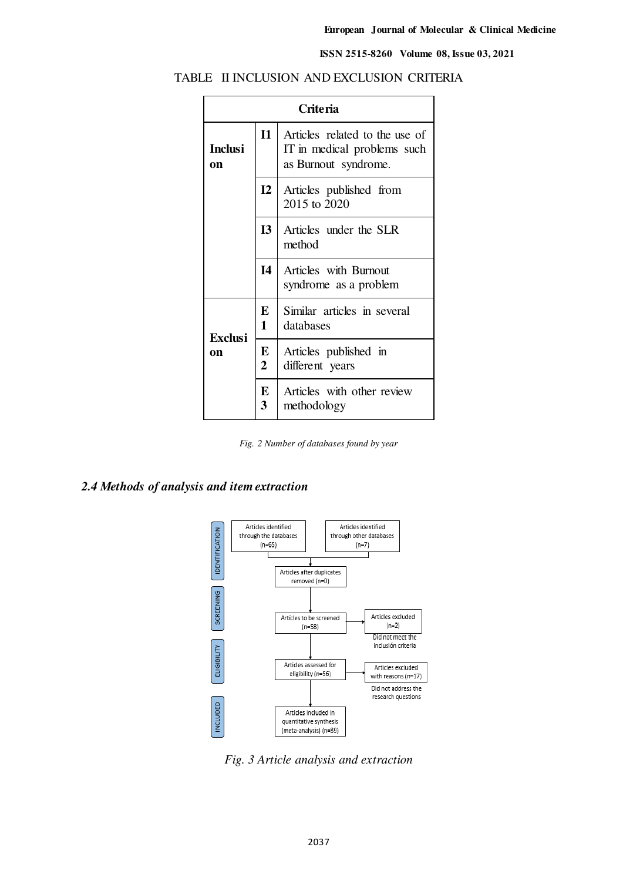| <b>Criteria</b>      |                                                                                                       |                                                |
|----------------------|-------------------------------------------------------------------------------------------------------|------------------------------------------------|
| <b>Inclusi</b><br>on | $\mathbf{I}$<br>Articles related to the use of<br>IT in medical problems such<br>as Burnout syndrome. |                                                |
|                      | $\mathbf{I2}$                                                                                         | Articles published from<br>2015 to 2020        |
|                      | I3                                                                                                    | Articles under the SLR<br>method               |
|                      | $\mathbf{I}4$                                                                                         | Articles with Burnout<br>syndrome as a problem |
| <b>Exclusi</b>       | E<br>1                                                                                                | Similar articles in several<br>databases       |
| on                   | E<br>$\overline{2}$                                                                                   | Articles published in<br>different years       |
|                      | E<br>3                                                                                                | Articles with other review<br>methodology      |

## TABLE II INCLUSION AND EXCLUSION CRITERIA

*Fig. 2 Number of databases found by year*

## *2.4 Methods of analysis and item extraction*



*Fig. 3 Article analysis and extraction*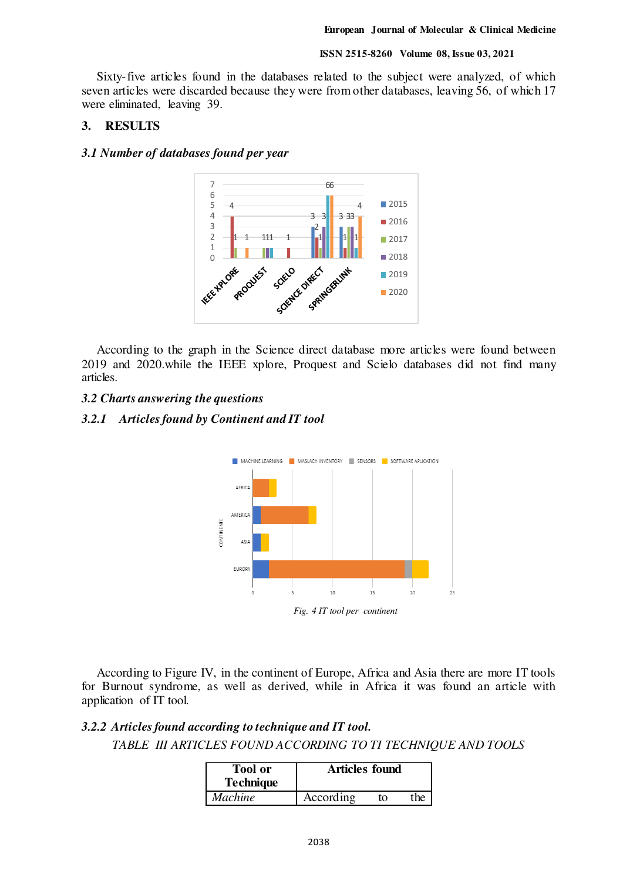Sixty-five articles found in the databases related to the subject were analyzed, of which seven articles were discarded because they were from other databases, leaving 56, of which 17 were eliminated, leaving 39.

#### **3. RESULTS**

#### *3.1 Number of databases found per year*



According to the graph in the Science direct database more articles were found between 2019 and 2020.while the IEEE xplore, Proquest and Scielo databases did not find many articles.

#### *3.2 Charts answering the questions*

#### *3.2.1 Articles found by Continent and IT tool*



According to Figure IV, in the continent of Europe, Africa and Asia there are more IT tools for Burnout syndrome, as well as derived, while in Africa it was found an article with application of IT tool.

## *3.2.2 Articles found according to technique and IT tool.*

*TABLE III ARTICLES FOUND ACCORDING TO TI TECHNIQUE AND TOOLS* 

| <b>Tool</b> or<br><b>Technique</b> | <b>Articles found</b> |    |      |
|------------------------------------|-----------------------|----|------|
| <b>Machine</b>                     | According             | tΩ | the. |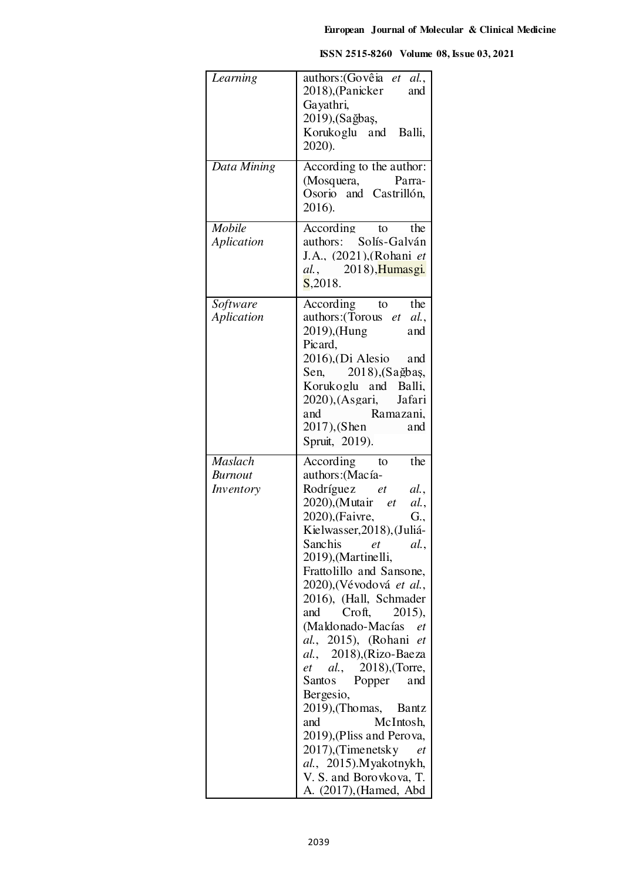| Learning                                      | authors: (Govêia et al.,<br>2018), (Panicker<br>and<br>Gayathri,<br>2019), (Sağbaş,<br>Korukoglu and Balli,<br>2020).                                                                                                                                                                                                                                                                                                                                                                                                                                                                                                                                                                       |
|-----------------------------------------------|---------------------------------------------------------------------------------------------------------------------------------------------------------------------------------------------------------------------------------------------------------------------------------------------------------------------------------------------------------------------------------------------------------------------------------------------------------------------------------------------------------------------------------------------------------------------------------------------------------------------------------------------------------------------------------------------|
| Data Mining                                   | According to the author:<br>(Mosquera, Parra-<br>Osorio and Castrillón,<br>2016).                                                                                                                                                                                                                                                                                                                                                                                                                                                                                                                                                                                                           |
| Mobile<br>Aplication                          | According<br>the<br>to<br>authors: Solís-Galván<br>J.A., (2021), (Rohani et<br><i>al.</i> , 2018), Humasgi.<br>S, 2018.                                                                                                                                                                                                                                                                                                                                                                                                                                                                                                                                                                     |
| Software<br>Aplication                        | According<br>the<br>to<br>authors: (Torous et al.,<br>2019), (Hung<br>and<br>Picard,<br>$2016$ , $(Di$ Alesio and<br>Sen, 2018), (Sağbaş,<br>Korukoglu and Balli,<br>2020), (Asgari,<br>Jafari<br>Ramazani.<br>and<br>$2017$ ), (Shen<br>and<br>Spruit, 2019).                                                                                                                                                                                                                                                                                                                                                                                                                              |
| <b>Maslach</b><br><b>Burnout</b><br>Inventory | the<br>According<br>to<br>authors: (Macía-<br>Rodríguez et<br>al.,<br>2020), (Mutair <i>et</i><br>al.<br>2020), (Faivre,<br>G.,<br>Kielwasser, 2018), (Juliá-<br>Sanchis<br>et<br>al.<br>2019), (Martinelli,<br>Frattolillo and Sansone,<br>2020), (Vévodová et al.,<br>2016), (Hall, Schmader<br>Croft,<br>and<br>2015),<br>(Maldonado-Macías<br>et<br>al., 2015), (Rohani<br>et<br>al., 2018), (Rizo-Baeza<br><i>et al.</i> , 2018), (Torre,<br>Santos Popper<br>and<br>Bergesio,<br>2019), (Thomas,<br><b>Bantz</b><br>McIntosh,<br>and<br>2019), (Pliss and Perova,<br>2017), (Timenetsky<br>et<br><i>al.</i> , 2015). Myakotnykh,<br>V. S. and Borovkova, T.<br>A. (2017), (Hamed, Abd |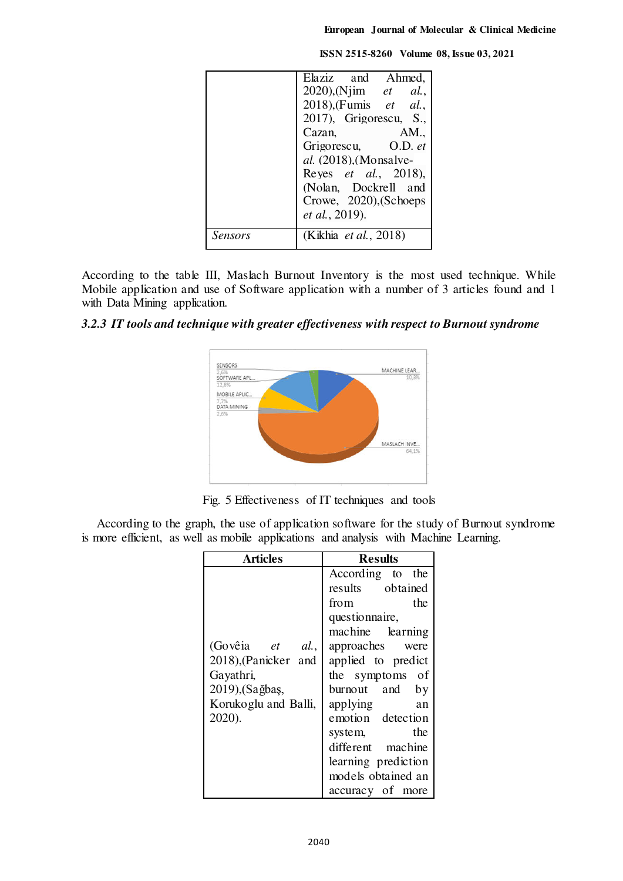|         | Elaziz and Ahmed,               |
|---------|---------------------------------|
|         | $2020$ ), (Njim <i>et al.</i> , |
|         | 2018), (Fumis et al.,           |
|         | $2017$ ), Grigorescu, S.,       |
|         | Cazan,<br>AM.                   |
|         | Grigorescu, O.D. et             |
|         | <i>al.</i> (2018), (Monsalve-   |
|         | Reyes <i>et al.</i> , 2018),    |
|         | (Nolan, Dockrell and            |
|         | Crowe, 2020), (Schoeps          |
|         | <i>et al.</i> , 2019).          |
| Sensors | (Kikhia <i>et al.</i> , 2018)   |

According to the table III, Maslach Burnout Inventory is the most used technique. While Mobile application and use of Software application with a number of 3 articles found and 1 with Data Mining application.

#### *3.2.3 IT tools and technique with greater effectiveness with respect to Burnout syndrome*



Fig. 5 Effectiveness of IT techniques and tools

According to the graph, the use of application software for the study of Burnout syndrome is more efficient, as well as mobile applications and analysis with Machine Learning.

| Articles             | <b>Results</b>      |
|----------------------|---------------------|
|                      | According to the    |
|                      | results obtained    |
|                      | the<br>from         |
|                      | questionnaire,      |
|                      | machine learning    |
| (Govêia et al.,      | approaches were     |
| 2018), (Panicker and | applied to predict  |
| Gayathri,            | the symptoms of     |
| 2019), (Sağbaş,      | burnout and<br>by   |
| Korukoglu and Balli, | applying<br>an      |
| 2020).               | emotion detection   |
|                      | the<br>system,      |
|                      | different machine   |
|                      | learning prediction |
|                      | models obtained an  |
|                      | accuracy of more    |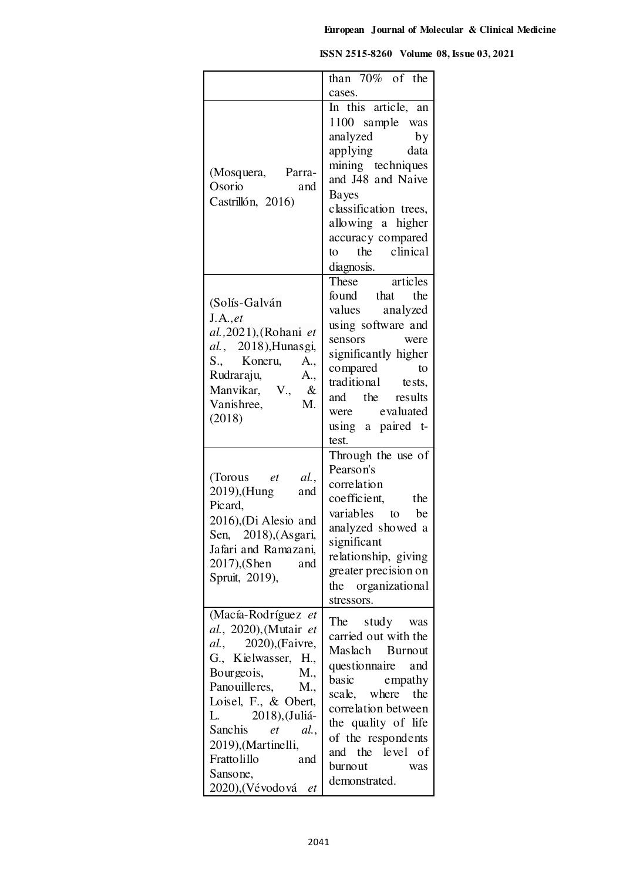| ISSN 2515-8260 Volume 08, Issue 03, 2021 |
|------------------------------------------|
|                                          |

|                                                                                                                                                                                                                                                                                                                   | than $70\%$ of the<br>cases.                                                                                                                                                                                                                     |
|-------------------------------------------------------------------------------------------------------------------------------------------------------------------------------------------------------------------------------------------------------------------------------------------------------------------|--------------------------------------------------------------------------------------------------------------------------------------------------------------------------------------------------------------------------------------------------|
| (Mosquera, Parra-<br>Osorio<br>and<br>Castrillón, 2016)                                                                                                                                                                                                                                                           | In this article, an<br>1100 sample was<br>analyzed<br>by<br>applying data<br>mining techniques<br>and J48 and Naive<br><b>Bayes</b><br>classification trees,<br>allowing a higher<br>accuracy compared<br>to the clinical<br>diagnosis.          |
| (Solís-Galván<br>J.A., et<br>al., 2021), (Rohani et<br>al., 2018), Hunasgi,<br>S., Koneru,<br>A.,<br>Rudraraju,<br>A.,<br>Manvikar, V., &<br>M.<br>Vanishree,<br>(2018)                                                                                                                                           | These articles<br>found that the<br>values analyzed<br>using software and<br>sensors<br>were<br>significantly higher<br>compared to<br>traditional tests,<br>and the results<br>were evaluated<br>using a paired t-<br>test.                     |
| (Torous et al.,<br>2019), (Hung<br>and<br>Picard,<br>2016), (Di Alesio and<br>Sen, 2018), (Asgari,<br>Jafari and Ramazani,<br>2017),(Shen<br>and<br>Spruit, 2019),                                                                                                                                                | Through the use of<br>Pearson's<br>correlation<br>coefficient, the<br>variables to be<br>analyzed showed a<br>significant<br>relationship, giving<br>greater precision on<br>the organizational<br>stressors.                                    |
| (Macía-Rodríguez et<br>al., 2020), (Mutair et<br><i>al.</i> , 2020), (Faivre,<br>G., Kielwasser, H.,<br>Bourgeois,<br>M.,<br>Panouilleres, M.,<br>Loisel, F., & Obert,<br>2018), (Juliá-<br>L.<br>Sanchis<br>et<br><i>al.</i> ,<br>2019), (Martinelli,<br>Frattolillo<br>and<br>Sansone,<br>2020),(Vévodová<br>et | The study was<br>carried out with the<br>Maslach Burnout<br>questionnaire and<br>basic<br>empathy<br>scale, where the<br>correlation between<br>the quality of life<br>of the respondents<br>and the level of<br>burnout<br>was<br>demonstrated. |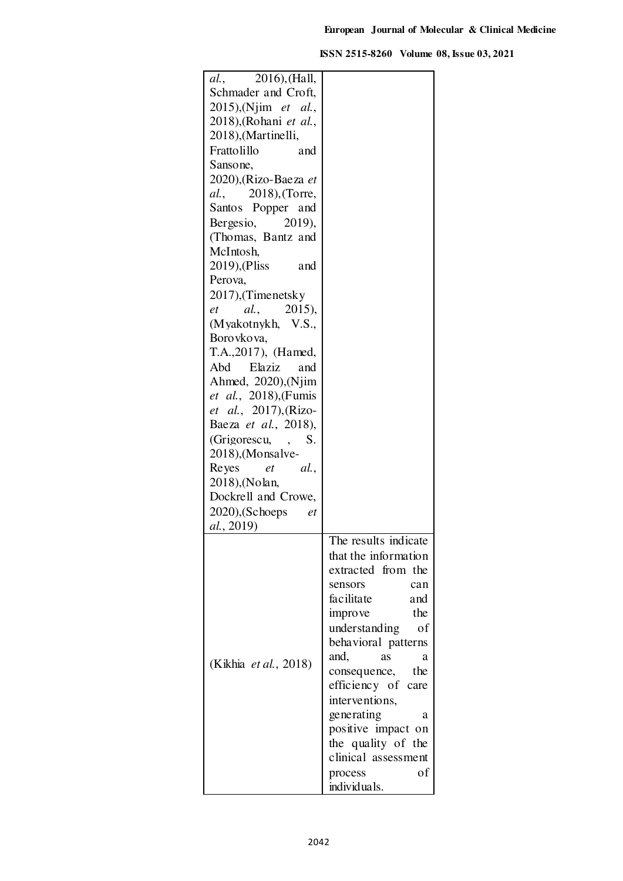| 2016), (Hall,<br>al.,                          |                       |
|------------------------------------------------|-----------------------|
| Schmader and Croft,                            |                       |
| $2015$ ), (Njim et al.,                        |                       |
| 2018), (Rohani et al.,                         |                       |
|                                                |                       |
| 2018), (Martinelli,                            |                       |
| Frattolillo<br>and                             |                       |
| Sansone,                                       |                       |
| 2020), (Rizo-Baeza et                          |                       |
| 2018), (Torre,<br>al.,                         |                       |
| Santos Popper and                              |                       |
|                                                |                       |
| Bergesio,<br>2019),                            |                       |
| (Thomas, Bantz and                             |                       |
| McIntosh,                                      |                       |
| 2019), (Pliss<br>and                           |                       |
| Perova,                                        |                       |
| 2017), (Timenetsky                             |                       |
| al.,<br>2015),<br>et                           |                       |
| (Myakotnykh, V.S.,                             |                       |
|                                                |                       |
| Boro vko va,                                   |                       |
| T.A., 2017), (Hamed,                           |                       |
| Elaziz<br>Abd<br>and                           |                       |
| Ahmed, 2020), (Njim                            |                       |
| et al., 2018), (Fumis                          |                       |
| et al., 2017), (Rizo-                          |                       |
| Baeza et al., 2018),                           |                       |
|                                                |                       |
| (Grigorescu,<br>S.<br>$\overline{\phantom{a}}$ |                       |
| 2018), (Monsalve-                              |                       |
| Reyes<br>al.<br>et                             |                       |
| 2018), (Nolan,                                 |                       |
| Dockrell and Crowe,                            |                       |
| $2020$ ), (Schoeps<br>et                       |                       |
| <i>al.</i> , 2019)                             |                       |
|                                                | The results indicate  |
|                                                | that the information  |
|                                                | extracted from the    |
|                                                |                       |
|                                                | sensors<br>can        |
|                                                | facilitate<br>and     |
|                                                | the<br><i>improve</i> |
|                                                | understanding<br>of   |
|                                                | behavioral patterns   |
|                                                | and,<br>as<br>a       |
| (Kikhia <i>et al.</i> , 2018)                  | consequence, the      |
|                                                |                       |
|                                                | efficiency of care    |
|                                                | interventions,        |
|                                                | generating<br>a       |
|                                                | positive impact on    |
|                                                | the quality of the    |
|                                                | clinical assessment   |
|                                                | оf<br>process         |
|                                                | individuals.          |
|                                                |                       |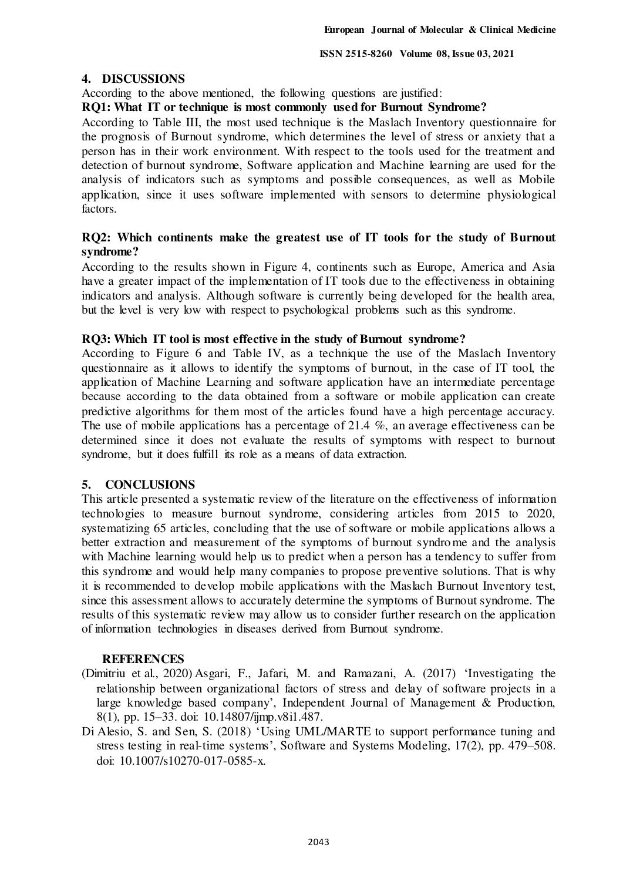## **4. DISCUSSIONS**

According to the above mentioned, the following questions are justified:

## **RQ1: What IT or technique is most commonly used for Burnout Syndrome?**

According to Table III, the most used technique is the Maslach Inventory questionnaire for the prognosis of Burnout syndrome, which determines the level of stress or anxiety that a person has in their work environment. With respect to the tools used for the treatment and detection of burnout syndrome, Software application and Machine learning are used for the analysis of indicators such as symptoms and possible consequences, as well as Mobile application, since it uses software implemented with sensors to determine physiological factors.

## **RQ2: Which continents make the greatest use of IT tools for the study of Burnout syndrome?**

According to the results shown in Figure 4, continents such as Europe, America and Asia have a greater impact of the implementation of IT tools due to the effectiveness in obtaining indicators and analysis. Although software is currently being developed for the health area, but the level is very low with respect to psychological problems such as this syndrome.

## **RQ3: Which IT tool is most effective in the study of Burnout syndrome?**

According to Figure 6 and Table IV, as a technique the use of the Maslach Inventory questionnaire as it allows to identify the symptoms of burnout, in the case of IT tool, the application of Machine Learning and software application have an intermediate percentage because according to the data obtained from a software or mobile application can create predictive algorithms for them most of the articles found have a high percentage accuracy. The use of mobile applications has a percentage of 21.4 %, an average effectiveness can be determined since it does not evaluate the results of symptoms with respect to burnout syndrome, but it does fulfill its role as a means of data extraction.

## **5. CONCLUSIONS**

This article presented a systematic review of the literature on the effectiveness of information technologies to measure burnout syndrome, considering articles from 2015 to 2020, systematizing 65 articles, concluding that the use of software or mobile applications allows a better extraction and measurement of the symptoms of burnout syndro me and the analysis with Machine learning would help us to predict when a person has a tendency to suffer from this syndrome and would help many companies to propose preventive solutions. That is why it is recommended to develop mobile applications with the Maslach Burnout Inventory test, since this assessment allows to accurately determine the symptoms of Burnout syndrome. The results of this systematic review may allow us to consider further research on the application of information technologies in diseases derived from Burnout syndrome.

#### **REFERENCES**

- (Dimitriu et al., 2020) Asgari, F., Jafari, M. and Ramazani, A. (2017) 'Investigating the relationship between organizational factors of stress and delay of software projects in a large knowledge based company', Independent Journal of Management & Production, 8(1), pp. 15–33. doi: 10.14807/ijmp.v8i1.487.
- Di Alesio, S. and Sen, S. (2018) 'Using UML/MARTE to support performance tuning and stress testing in real-time systems', Software and Systems Modeling, 17(2), pp. 479–508. doi: 10.1007/s10270-017-0585-x.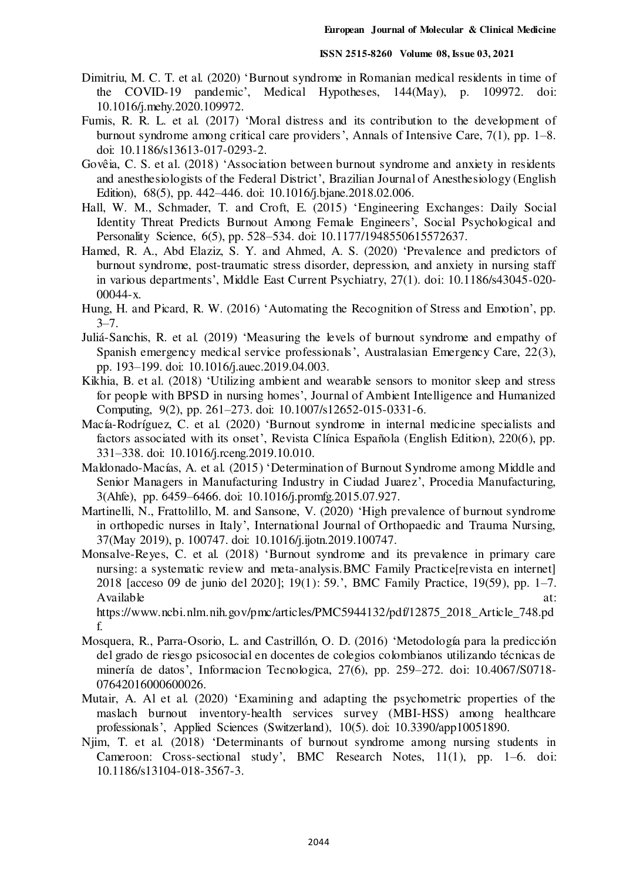- Dimitriu, M. C. T. et al. (2020) 'Burnout syndrome in Romanian medical residents in time of the COVID-19 pandemic', Medical Hypotheses, 144(May), p. 109972. doi: 10.1016/j.mehy.2020.109972.
- Fumis, R. R. L. et al. (2017) 'Moral distress and its contribution to the development of burnout syndrome among critical care providers', Annals of Intensive Care, 7(1), pp. 1–8. doi: 10.1186/s13613-017-0293-2.
- Govêia, C. S. et al. (2018) 'Association between burnout syndrome and anxiety in residents and anesthesiologists of the Federal District', Brazilian Journal of Anesthesiology (English Edition), 68(5), pp. 442–446. doi: 10.1016/j.bjane.2018.02.006.
- Hall, W. M., Schmader, T. and Croft, E. (2015) 'Engineering Exchanges: Daily Social Identity Threat Predicts Burnout Among Female Engineers', Social Psychological and Personality Science, 6(5), pp. 528–534. doi: 10.1177/1948550615572637.
- Hamed, R. A., Abd Elaziz, S. Y. and Ahmed, A. S. (2020) 'Prevalence and predictors of burnout syndrome, post-traumatic stress disorder, depression, and anxiety in nursing staff in various departments', Middle East Current Psychiatry, 27(1). doi: 10.1186/s43045-020- 00044-x.
- Hung, H. and Picard, R. W. (2016) 'Automating the Recognition of Stress and Emotion', pp.  $3 - 7$ .
- Juliá-Sanchis, R. et al. (2019) 'Measuring the levels of burnout syndrome and empathy of Spanish emergency medical service professionals', Australasian Emergency Care, 22(3), pp. 193–199. doi: 10.1016/j.auec.2019.04.003.
- Kikhia, B. et al. (2018) 'Utilizing ambient and wearable sensors to monitor sleep and stress for people with BPSD in nursing homes', Journal of Ambient Intelligence and Humanized Computing, 9(2), pp. 261–273. doi: 10.1007/s12652-015-0331-6.
- Macía-Rodríguez, C. et al. (2020) 'Burnout syndrome in internal medicine specialists and factors associated with its onset', Revista Clínica Española (English Edition), 220(6), pp. 331–338. doi: 10.1016/j.rceng.2019.10.010.
- Maldonado-Macías, A. et al. (2015) 'Determination of Burnout Syndrome among Middle and Senior Managers in Manufacturing Industry in Ciudad Juarez', Procedia Manufacturing, 3(Ahfe), pp. 6459–6466. doi: 10.1016/j.promfg.2015.07.927.
- Martinelli, N., Frattolillo, M. and Sansone, V. (2020) 'High prevalence of burnout syndrome in orthopedic nurses in Italy', International Journal of Orthopaedic and Trauma Nursing, 37(May 2019), p. 100747. doi: 10.1016/j.ijotn.2019.100747.
- Monsalve-Reyes, C. et al. (2018) 'Burnout syndrome and its prevalence in primary care nursing: a systematic review and meta-analysis.BMC Family Practice[revista en internet] 2018 [acceso 09 de junio del 2020]; 19(1): 59.', BMC Family Practice, 19(59), pp. 1–7. Available at:  $\alpha$

https://www.ncbi.nlm.nih.gov/pmc/articles/PMC5944132/pdf/12875\_2018\_Article\_748.pd f.

- Mosquera, R., Parra-Osorio, L. and Castrillón, O. D. (2016) 'Metodología para la predicción del grado de riesgo psicosocial en docentes de colegios colombianos utilizando técnicas de minería de datos', Informacion Tecnologica, 27(6), pp. 259–272. doi: 10.4067/S0718- 07642016000600026.
- Mutair, A. Al et al. (2020) 'Examining and adapting the psychometric properties of the maslach burnout inventory-health services survey (MBI-HSS) among healthcare professionals', Applied Sciences (Switzerland), 10(5). doi: 10.3390/app10051890.
- Njim, T. et al. (2018) 'Determinants of burnout syndrome among nursing students in Cameroon: Cross-sectional study', BMC Research Notes, 11(1), pp. 1–6. doi: 10.1186/s13104-018-3567-3.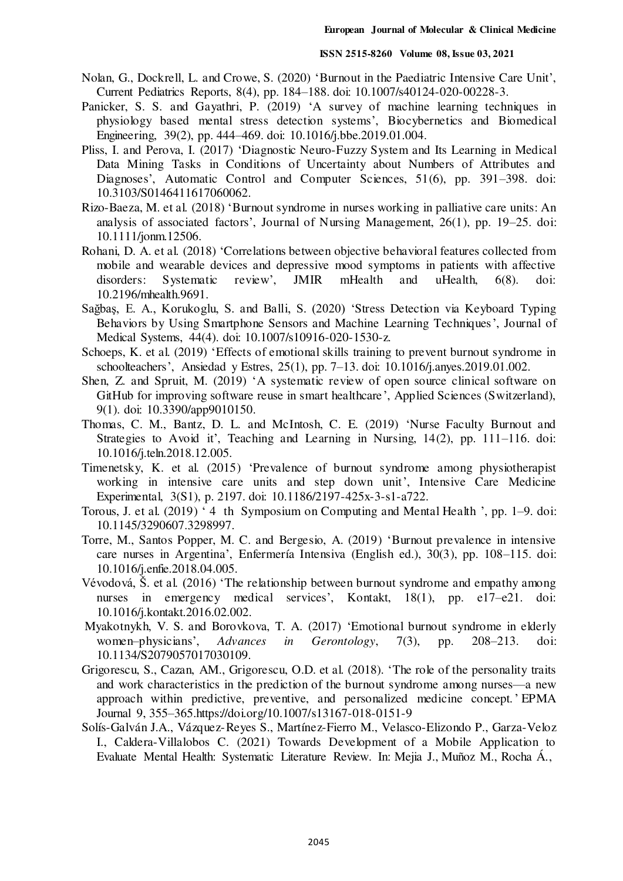- Nolan, G., Dockrell, L. and Crowe, S. (2020) 'Burnout in the Paediatric Intensive Care Unit', Current Pediatrics Reports, 8(4), pp. 184–188. doi: 10.1007/s40124-020-00228-3.
- Panicker, S. S. and Gayathri, P. (2019) 'A survey of machine learning techniques in physiology based mental stress detection systems', Biocybernetics and Biomedical Engineering, 39(2), pp. 444–469. doi: 10.1016/j.bbe.2019.01.004.
- Pliss, I. and Perova, I. (2017) 'Diagnostic Neuro-Fuzzy System and Its Learning in Medical Data Mining Tasks in Conditions of Uncertainty about Numbers of Attributes and Diagnoses', Automatic Control and Computer Sciences, 51(6), pp. 391–398. doi: 10.3103/S0146411617060062.
- Rizo-Baeza, M. et al. (2018) 'Burnout syndrome in nurses working in palliative care units: An analysis of associated factors', Journal of Nursing Management, 26(1), pp. 19–25. doi: 10.1111/jonm.12506.
- Rohani, D. A. et al. (2018) 'Correlations between objective behavioral features collected from mobile and wearable devices and depressive mood symptoms in patients with affective disorders: Systematic review', JMIR mHealth and uHealth, 6(8). doi: 10.2196/mhealth.9691.
- Sağbaş, E. A., Korukoglu, S. and Balli, S. (2020) 'Stress Detection via Keyboard Typing Behaviors by Using Smartphone Sensors and Machine Learning Techniques', Journal of Medical Systems, 44(4). doi: 10.1007/s10916-020-1530-z.
- Schoeps, K. et al. (2019) 'Effects of emotional skills training to prevent burnout syndrome in schoolteachers', Ansiedad y Estres, 25(1), pp. 7–13. doi: 10.1016/j.anyes.2019.01.002.
- Shen, Z. and Spruit, M. (2019) 'A systematic review of open source clinical software on GitHub for improving software reuse in smart healthcare', Applied Sciences (Switzerland), 9(1). doi: 10.3390/app9010150.
- Thomas, C. M., Bantz, D. L. and McIntosh, C. E. (2019) 'Nurse Faculty Burnout and Strategies to Avoid it', Teaching and Learning in Nursing, 14(2), pp. 111–116. doi: 10.1016/j.teln.2018.12.005.
- Timenetsky, K. et al. (2015) 'Prevalence of burnout syndrome among physiotherapist working in intensive care units and step down unit', Intensive Care Medicine Experimental, 3(S1), p. 2197. doi: 10.1186/2197-425x-3-s1-a722.
- Torous, J. et al. (2019) ' 4 th Symposium on Computing and Mental Health ', pp. 1–9. doi: 10.1145/3290607.3298997.
- Torre, M., Santos Popper, M. C. and Bergesio, A. (2019) 'Burnout prevalence in intensive care nurses in Argentina', Enfermería Intensiva (English ed.), 30(3), pp. 108–115. doi: 10.1016/j.enfie.2018.04.005.
- Vévodová, Š. et al. (2016) 'The relationship between burnout syndrome and empathy among nurses in emergency medical services', Kontakt, 18(1), pp. e17–e21. doi: 10.1016/j.kontakt.2016.02.002.
- Myakotnykh, V. S. and Borovkova, T. A. (2017) 'Emotional burnout syndrome in elderly women–physicians', *Advances in Gerontology*, 7(3), pp. 208–213. doi: 10.1134/S2079057017030109.
- Grigorescu, S., Cazan, AM., Grigorescu, O.D. et al. (2018). 'The role of the personality traits and work characteristics in the prediction of the burnout syndrome among nurses—a new approach within predictive, preventive, and personalized medicine concept.' EPMA Journal 9, 355–365[.https://doi.org/10.1007/s13167-018-0151-9](https://doi.org/10.1007/s13167-018-0151-9)
- Solís-Galván J.A., Vázquez-Reyes S., Martínez-Fierro M., Velasco-Elizondo P., Garza-Veloz I., Caldera-Villalobos C. (2021) Towards Development of a Mobile Application to Evaluate Mental Health: Systematic Literature Review. In: Mejia J., Muñoz M., Rocha Á.,